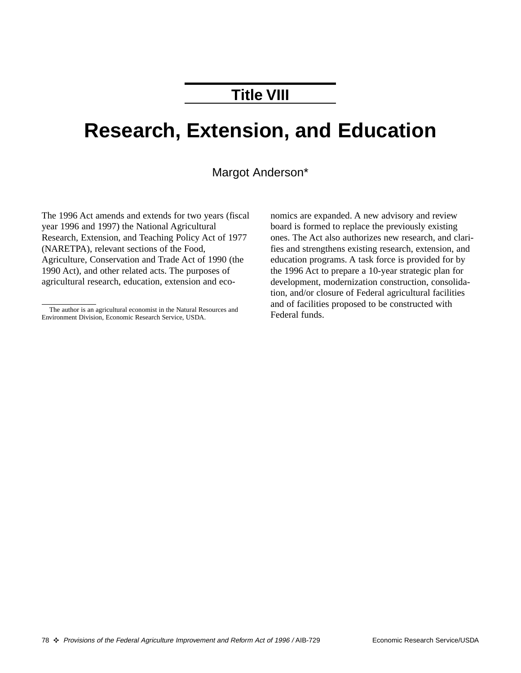## **Title VIII**

# **Research, Extension, and Education**

#### Margot Anderson\*

The 1996 Act amends and extends for two years (fiscal year 1996 and 1997) the National Agricultural Research, Extension, and Teaching Policy Act of 1977 (NARETPA), relevant sections of the Food, Agriculture, Conservation and Trade Act of 1990 (the 1990 Act), and other related acts. The purposes of agricultural research, education, extension and eco-

nomics are expanded. A new advisory and review board is formed to replace the previously existing ones. The Act also authorizes new research, and clarifies and strengthens existing research, extension, and education programs. A task force is provided for by the 1996 Act to prepare a 10-year strategic plan for development, modernization construction, consolidation, and/or closure of Federal agricultural facilities and of facilities proposed to be constructed with Federal funds.

The author is an agricultural economist in the Natural Resources and Environment Division, Economic Research Service, USDA.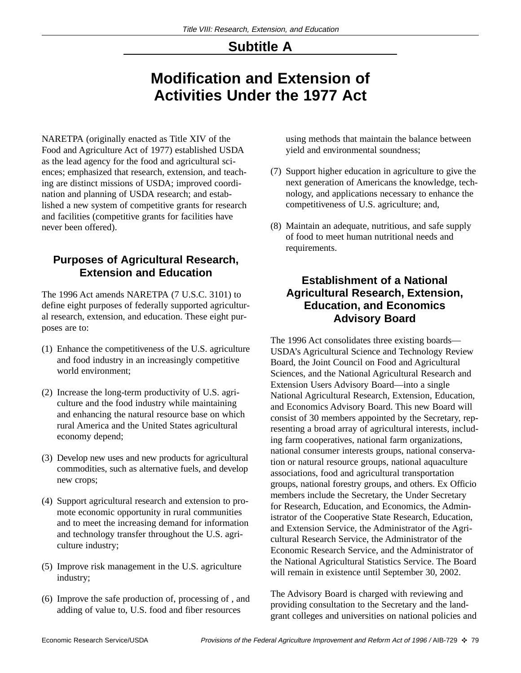### **Subtitle A**

## **Modification and Extension of Activities Under the 1977 Act**

NARETPA (originally enacted as Title XIV of the Food and Agriculture Act of 1977) established USDA as the lead agency for the food and agricultural sciences; emphasized that research, extension, and teaching are distinct missions of USDA; improved coordination and planning of USDA research; and established a new system of competitive grants for research and facilities (competitive grants for facilities have never been offered).

#### **Purposes of Agricultural Research, Extension and Education**

The 1996 Act amends NARETPA (7 U.S.C. 3101) to define eight purposes of federally supported agricultural research, extension, and education. These eight purposes are to:

- (1) Enhance the competitiveness of the U.S. agriculture and food industry in an increasingly competitive world environment;
- (2) Increase the long-term productivity of U.S. agriculture and the food industry while maintaining and enhancing the natural resource base on which rural America and the United States agricultural economy depend;
- (3) Develop new uses and new products for agricultural commodities, such as alternative fuels, and develop new crops;
- (4) Support agricultural research and extension to promote economic opportunity in rural communities and to meet the increasing demand for information and technology transfer throughout the U.S. agriculture industry;
- (5) Improve risk management in the U.S. agriculture industry;
- (6) Improve the safe production of, processing of , and adding of value to, U.S. food and fiber resources

using methods that maintain the balance between yield and environmental soundness;

- (7) Support higher education in agriculture to give the next generation of Americans the knowledge, technology, and applications necessary to enhance the competitiveness of U.S. agriculture; and,
- (8) Maintain an adequate, nutritious, and safe supply of food to meet human nutritional needs and requirements.

#### **Establishment of a National Agricultural Research, Extension, Education, and Economics Advisory Board**

The 1996 Act consolidates three existing boards— USDA's Agricultural Science and Technology Review Board, the Joint Council on Food and Agricultural Sciences, and the National Agricultural Research and Extension Users Advisory Board—into a single National Agricultural Research, Extension, Education, and Economics Advisory Board. This new Board will consist of 30 members appointed by the Secretary, representing a broad array of agricultural interests, including farm cooperatives, national farm organizations, national consumer interests groups, national conservation or natural resource groups, national aquaculture associations, food and agricultural transportation groups, national forestry groups, and others. Ex Officio members include the Secretary, the Under Secretary for Research, Education, and Economics, the Administrator of the Cooperative State Research, Education, and Extension Service, the Administrator of the Agricultural Research Service, the Administrator of the Economic Research Service, and the Administrator of the National Agricultural Statistics Service. The Board will remain in existence until September 30, 2002.

The Advisory Board is charged with reviewing and providing consultation to the Secretary and the landgrant colleges and universities on national policies and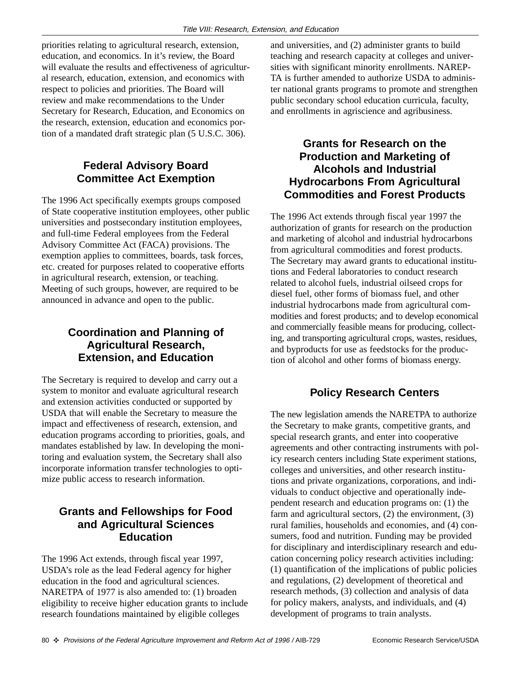priorities relating to agricultural research, extension, education, and economics. In it's review, the Board will evaluate the results and effectiveness of agricultural research, education, extension, and economics with respect to policies and priorities. The Board will review and make recommendations to the Under Secretary for Research, Education, and Economics on the research, extension, education and economics portion of a mandated draft strategic plan (5 U.S.C. 306).

#### **Federal Advisory Board Committee Act Exemption**

The 1996 Act specifically exempts groups composed of State cooperative institution employees, other public universities and postsecondary institution employees, and full-time Federal employees from the Federal Advisory Committee Act (FACA) provisions. The exemption applies to committees, boards, task forces, etc. created for purposes related to cooperative efforts in agricultural research, extension, or teaching. Meeting of such groups, however, are required to be announced in advance and open to the public.

#### **Coordination and Planning of Agricultural Research, Extension, and Education**

The Secretary is required to develop and carry out a system to monitor and evaluate agricultural research and extension activities conducted or supported by USDA that will enable the Secretary to measure the impact and effectiveness of research, extension, and education programs according to priorities, goals, and mandates established by law. In developing the monitoring and evaluation system, the Secretary shall also incorporate information transfer technologies to optimize public access to research information.

#### **Grants and Fellowships for Food and Agricultural Sciences Education**

The 1996 Act extends, through fiscal year 1997, USDA's role as the lead Federal agency for higher education in the food and agricultural sciences. NARETPA of 1977 is also amended to: (1) broaden eligibility to receive higher education grants to include research foundations maintained by eligible colleges

and universities, and (2) administer grants to build teaching and research capacity at colleges and universities with significant minority enrollments. NAREP-TA is further amended to authorize USDA to administer national grants programs to promote and strengthen public secondary school education curricula, faculty, and enrollments in agriscience and agribusiness.

#### **Grants for Research on the Production and Marketing of Alcohols and Industrial Hydrocarbons From Agricultural Commodities and Forest Products**

The 1996 Act extends through fiscal year 1997 the authorization of grants for research on the production and marketing of alcohol and industrial hydrocarbons from agricultural commodities and forest products. The Secretary may award grants to educational institutions and Federal laboratories to conduct research related to alcohol fuels, industrial oilseed crops for diesel fuel, other forms of biomass fuel, and other industrial hydrocarbons made from agricultural commodities and forest products; and to develop economical and commercially feasible means for producing, collecting, and transporting agricultural crops, wastes, residues, and byproducts for use as feedstocks for the production of alcohol and other forms of biomass energy.

#### **Policy Research Centers**

The new legislation amends the NARETPA to authorize the Secretary to make grants, competitive grants, and special research grants, and enter into cooperative agreements and other contracting instruments with policy research centers including State experiment stations, colleges and universities, and other research institutions and private organizations, corporations, and individuals to conduct objective and operationally independent research and education programs on: (1) the farm and agricultural sectors, (2) the environment, (3) rural families, households and economies, and (4) consumers, food and nutrition. Funding may be provided for disciplinary and interdisciplinary research and education concerning policy research activities including: (1) quantification of the implications of public policies and regulations, (2) development of theoretical and research methods, (3) collection and analysis of data for policy makers, analysts, and individuals, and (4) development of programs to train analysts.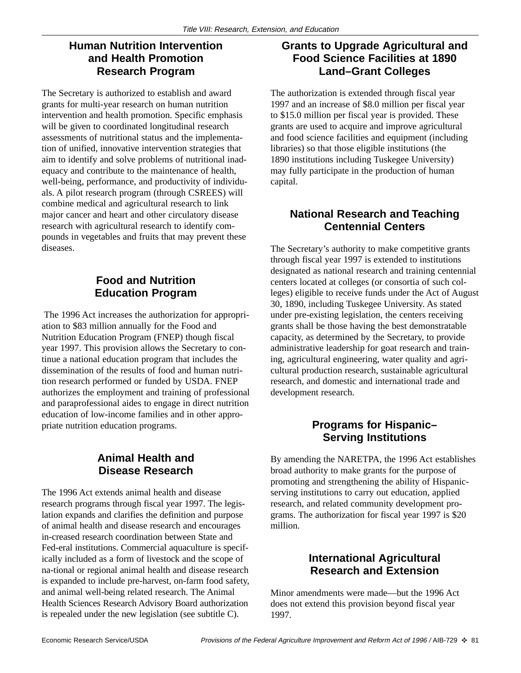#### **Human Nutrition Intervention and Health Promotion Research Program**

The Secretary is authorized to establish and award grants for multi-year research on human nutrition intervention and health promotion. Specific emphasis will be given to coordinated longitudinal research assessments of nutritional status and the implementation of unified, innovative intervention strategies that aim to identify and solve problems of nutritional inadequacy and contribute to the maintenance of health, well-being, performance, and productivity of individuals. A pilot research program (through CSREES) will combine medical and agricultural research to link major cancer and heart and other circulatory disease research with agricultural research to identify compounds in vegetables and fruits that may prevent these diseases.

#### **Food and Nutrition Education Program**

The 1996 Act increases the authorization for appropriation to \$83 million annually for the Food and Nutrition Education Program (FNEP) though fiscal year 1997. This provision allows the Secretary to continue a national education program that includes the dissemination of the results of food and human nutrition research performed or funded by USDA. FNEP authorizes the employment and training of professional and paraprofessional aides to engage in direct nutrition education of low-income families and in other appropriate nutrition education programs.

#### **Animal Health and Disease Research**

The 1996 Act extends animal health and disease research programs through fiscal year 1997. The legislation expands and clarifies the definition and purpose of animal health and disease research and encourages in-creased research coordination between State and Fed-eral institutions. Commercial aquaculture is specifically included as a form of livestock and the scope of na-tional or regional animal health and disease research is expanded to include pre-harvest, on-farm food safety, and animal well-being related research. The Animal Health Sciences Research Advisory Board authorization is repealed under the new legislation (see subtitle C).

#### **Grants to Upgrade Agricultural and Food Science Facilities at 1890 Land–Grant Colleges**

The authorization is extended through fiscal year 1997 and an increase of \$8.0 million per fiscal year to \$15.0 million per fiscal year is provided. These grants are used to acquire and improve agricultural and food science facilities and equipment (including libraries) so that those eligible institutions (the 1890 institutions including Tuskegee University) may fully participate in the production of human capital.

#### **National Research and Teaching Centennial Centers**

The Secretary's authority to make competitive grants through fiscal year 1997 is extended to institutions designated as national research and training centennial centers located at colleges (or consortia of such colleges) eligible to receive funds under the Act of August 30, 1890, including Tuskegee University. As stated under pre-existing legislation, the centers receiving grants shall be those having the best demonstratable capacity, as determined by the Secretary, to provide administrative leadership for goat research and training, agricultural engineering, water quality and agricultural production research, sustainable agricultural research, and domestic and international trade and development research.

#### **Programs for Hispanic– Serving Institutions**

By amending the NARETPA, the 1996 Act establishes broad authority to make grants for the purpose of promoting and strengthening the ability of Hispanicserving institutions to carry out education, applied research, and related community development programs. The authorization for fiscal year 1997 is \$20 million.

#### **International Agricultural Research and Extension**

Minor amendments were made—but the 1996 Act does not extend this provision beyond fiscal year 1997.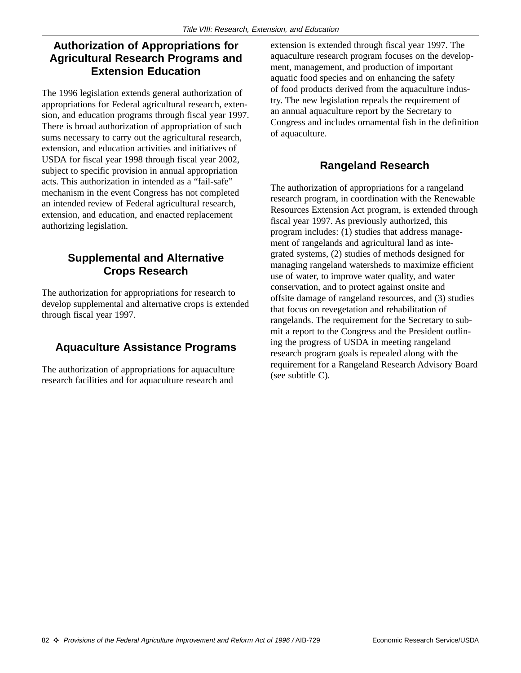#### **Authorization of Appropriations for Agricultural Research Programs and Extension Education**

The 1996 legislation extends general authorization of appropriations for Federal agricultural research, extension, and education programs through fiscal year 1997. There is broad authorization of appropriation of such sums necessary to carry out the agricultural research, extension, and education activities and initiatives of USDA for fiscal year 1998 through fiscal year 2002, subject to specific provision in annual appropriation acts. This authorization in intended as a "fail-safe" mechanism in the event Congress has not completed an intended review of Federal agricultural research, extension, and education, and enacted replacement authorizing legislation.

#### **Supplemental and Alternative Crops Research**

The authorization for appropriations for research to develop supplemental and alternative crops is extended through fiscal year 1997.

#### **Aquaculture Assistance Programs**

The authorization of appropriations for aquaculture research facilities and for aquaculture research and

extension is extended through fiscal year 1997. The aquaculture research program focuses on the development, management, and production of important aquatic food species and on enhancing the safety of food products derived from the aquaculture industry. The new legislation repeals the requirement of an annual aquaculture report by the Secretary to Congress and includes ornamental fish in the definition of aquaculture.

#### **Rangeland Research**

The authorization of appropriations for a rangeland research program, in coordination with the Renewable Resources Extension Act program, is extended through fiscal year 1997. As previously authorized, this program includes: (1) studies that address management of rangelands and agricultural land as integrated systems, (2) studies of methods designed for managing rangeland watersheds to maximize efficient use of water, to improve water quality, and water conservation, and to protect against onsite and offsite damage of rangeland resources, and (3) studies that focus on revegetation and rehabilitation of rangelands. The requirement for the Secretary to submit a report to the Congress and the President outlining the progress of USDA in meeting rangeland research program goals is repealed along with the requirement for a Rangeland Research Advisory Board (see subtitle C).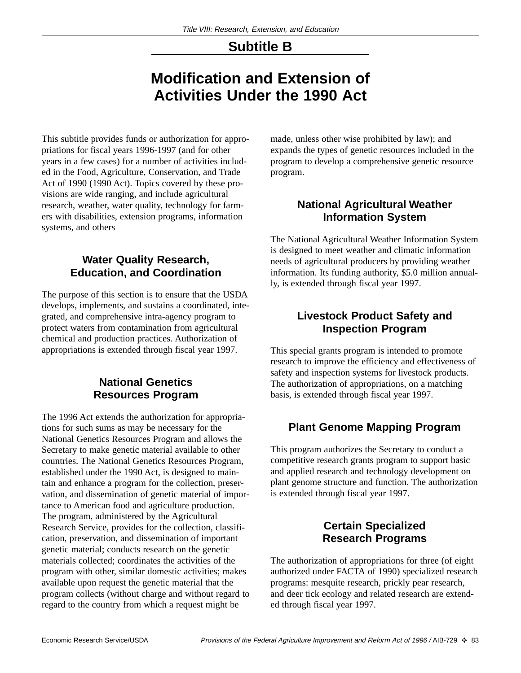### **Subtitle B**

## **Modification and Extension of Activities Under the 1990 Act**

This subtitle provides funds or authorization for appropriations for fiscal years 1996-1997 (and for other years in a few cases) for a number of activities included in the Food, Agriculture, Conservation, and Trade Act of 1990 (1990 Act). Topics covered by these provisions are wide ranging, and include agricultural research, weather, water quality, technology for farmers with disabilities, extension programs, information systems, and others

#### **Water Quality Research, Education, and Coordination**

The purpose of this section is to ensure that the USDA develops, implements, and sustains a coordinated, integrated, and comprehensive intra-agency program to protect waters from contamination from agricultural chemical and production practices. Authorization of appropriations is extended through fiscal year 1997.

#### **National Genetics Resources Program**

The 1996 Act extends the authorization for appropriations for such sums as may be necessary for the National Genetics Resources Program and allows the Secretary to make genetic material available to other countries. The National Genetics Resources Program, established under the 1990 Act, is designed to maintain and enhance a program for the collection, preservation, and dissemination of genetic material of importance to American food and agriculture production. The program, administered by the Agricultural Research Service, provides for the collection, classification, preservation, and dissemination of important genetic material; conducts research on the genetic materials collected; coordinates the activities of the program with other, similar domestic activities; makes available upon request the genetic material that the program collects (without charge and without regard to regard to the country from which a request might be

made, unless other wise prohibited by law); and expands the types of genetic resources included in the program to develop a comprehensive genetic resource program.

#### **National Agricultural Weather Information System**

The National Agricultural Weather Information System is designed to meet weather and climatic information needs of agricultural producers by providing weather information. Its funding authority, \$5.0 million annually, is extended through fiscal year 1997.

#### **Livestock Product Safety and Inspection Program**

This special grants program is intended to promote research to improve the efficiency and effectiveness of safety and inspection systems for livestock products. The authorization of appropriations, on a matching basis, is extended through fiscal year 1997.

#### **Plant Genome Mapping Program**

This program authorizes the Secretary to conduct a competitive research grants program to support basic and applied research and technology development on plant genome structure and function. The authorization is extended through fiscal year 1997.

#### **Certain Specialized Research Programs**

The authorization of appropriations for three (of eight authorized under FACTA of 1990) specialized research programs: mesquite research, prickly pear research, and deer tick ecology and related research are extended through fiscal year 1997.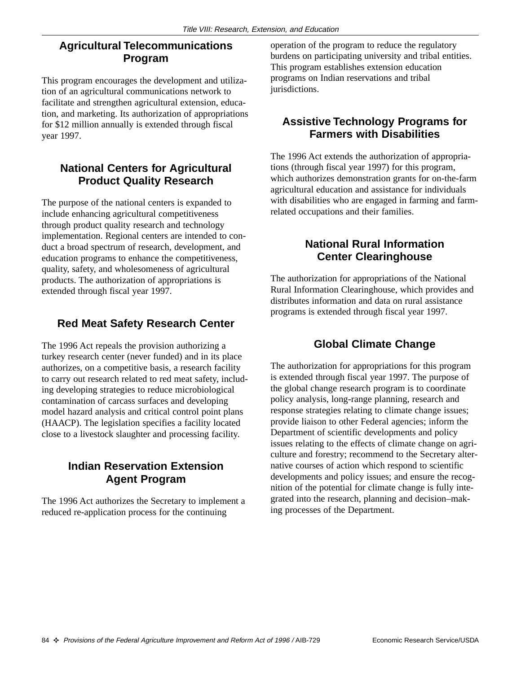#### **Agricultural Telecommunications Program**

This program encourages the development and utilization of an agricultural communications network to facilitate and strengthen agricultural extension, education, and marketing. Its authorization of appropriations for \$12 million annually is extended through fiscal year 1997.

#### **National Centers for Agricultural Product Quality Research**

The purpose of the national centers is expanded to include enhancing agricultural competitiveness through product quality research and technology implementation. Regional centers are intended to conduct a broad spectrum of research, development, and education programs to enhance the competitiveness, quality, safety, and wholesomeness of agricultural products. The authorization of appropriations is extended through fiscal year 1997.

#### **Red Meat Safety Research Center**

The 1996 Act repeals the provision authorizing a turkey research center (never funded) and in its place authorizes, on a competitive basis, a research facility to carry out research related to red meat safety, including developing strategies to reduce microbiological contamination of carcass surfaces and developing model hazard analysis and critical control point plans (HAACP). The legislation specifies a facility located close to a livestock slaughter and processing facility.

#### **Indian Reservation Extension Agent Program**

The 1996 Act authorizes the Secretary to implement a reduced re-application process for the continuing

operation of the program to reduce the regulatory burdens on participating university and tribal entities. This program establishes extension education programs on Indian reservations and tribal jurisdictions.

#### **Assistive Technology Programs for Farmers with Disabilities**

The 1996 Act extends the authorization of appropriations (through fiscal year 1997) for this program, which authorizes demonstration grants for on-the-farm agricultural education and assistance for individuals with disabilities who are engaged in farming and farmrelated occupations and their families.

#### **National Rural Information Center Clearinghouse**

The authorization for appropriations of the National Rural Information Clearinghouse, which provides and distributes information and data on rural assistance programs is extended through fiscal year 1997.

#### **Global Climate Change**

The authorization for appropriations for this program is extended through fiscal year 1997. The purpose of the global change research program is to coordinate policy analysis, long-range planning, research and response strategies relating to climate change issues; provide liaison to other Federal agencies; inform the Department of scientific developments and policy issues relating to the effects of climate change on agriculture and forestry; recommend to the Secretary alternative courses of action which respond to scientific developments and policy issues; and ensure the recognition of the potential for climate change is fully integrated into the research, planning and decision–making processes of the Department.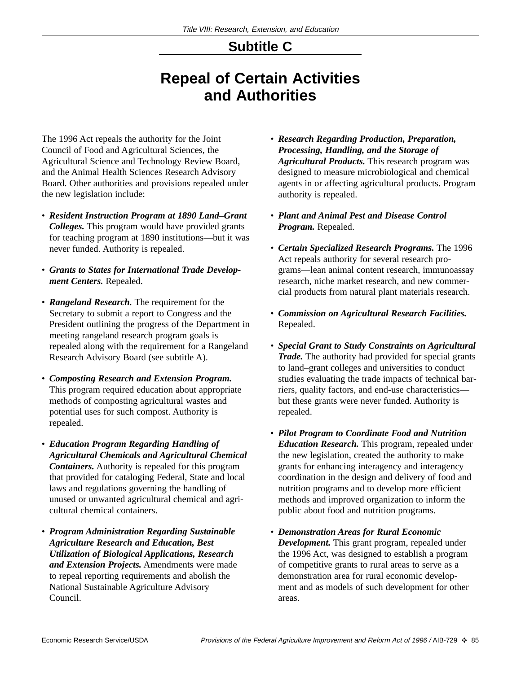## **Subtitle C**

## **Repeal of Certain Activities and Authorities**

The 1996 Act repeals the authority for the Joint Council of Food and Agricultural Sciences, the Agricultural Science and Technology Review Board, and the Animal Health Sciences Research Advisory Board. Other authorities and provisions repealed under the new legislation include:

- *Resident Instruction Program at 1890 Land–Grant Colleges.* This program would have provided grants for teaching program at 1890 institutions—but it was never funded. Authority is repealed.
- *Grants to States for International Trade Development Centers.* Repealed.
- *Rangeland Research.* The requirement for the Secretary to submit a report to Congress and the President outlining the progress of the Department in meeting rangeland research program goals is repealed along with the requirement for a Rangeland Research Advisory Board (see subtitle A).
- *Composting Research and Extension Program.* This program required education about appropriate methods of composting agricultural wastes and potential uses for such compost. Authority is repealed.
- *Education Program Regarding Handling of Agricultural Chemicals and Agricultural Chemical Containers.* Authority is repealed for this program that provided for cataloging Federal, State and local laws and regulations governing the handling of unused or unwanted agricultural chemical and agricultural chemical containers.
- *Program Administration Regarding Sustainable Agriculture Research and Education, Best Utilization of Biological Applications, Research and Extension Projects.* Amendments were made to repeal reporting requirements and abolish the National Sustainable Agriculture Advisory Council.
- *Research Regarding Production, Preparation, Processing, Handling, and the Storage of Agricultural Products.* This research program was designed to measure microbiological and chemical agents in or affecting agricultural products. Program authority is repealed.
- *Plant and Animal Pest and Disease Control Program.* Repealed.
- *Certain Specialized Research Programs.* The 1996 Act repeals authority for several research programs—lean animal content research, immunoassay research, niche market research, and new commercial products from natural plant materials research.
- *Commission on Agricultural Research Facilities.* Repealed.
- *Special Grant to Study Constraints on Agricultural Trade.* The authority had provided for special grants to land–grant colleges and universities to conduct studies evaluating the trade impacts of technical barriers, quality factors, and end-use characteristics but these grants were never funded. Authority is repealed.
- *Pilot Program to Coordinate Food and Nutrition Education Research.* This program, repealed under the new legislation, created the authority to make grants for enhancing interagency and interagency coordination in the design and delivery of food and nutrition programs and to develop more efficient methods and improved organization to inform the public about food and nutrition programs.
- *Demonstration Areas for Rural Economic Development.* This grant program, repealed under the 1996 Act, was designed to establish a program of competitive grants to rural areas to serve as a demonstration area for rural economic development and as models of such development for other areas.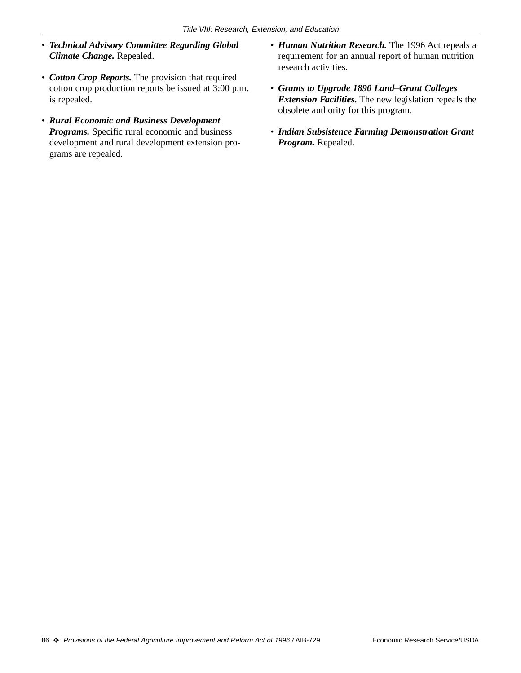- *Technical Advisory Committee Regarding Global Climate Change.* Repealed.
- *Cotton Crop Reports.* The provision that required cotton crop production reports be issued at 3:00 p.m. is repealed.
- *Rural Economic and Business Development Programs.* Specific rural economic and business development and rural development extension programs are repealed.
- *Human Nutrition Research.* The 1996 Act repeals a requirement for an annual report of human nutrition research activities.
- *Grants to Upgrade 1890 Land–Grant Colleges Extension Facilities.* The new legislation repeals the obsolete authority for this program.
- *Indian Subsistence Farming Demonstration Grant Program.* Repealed.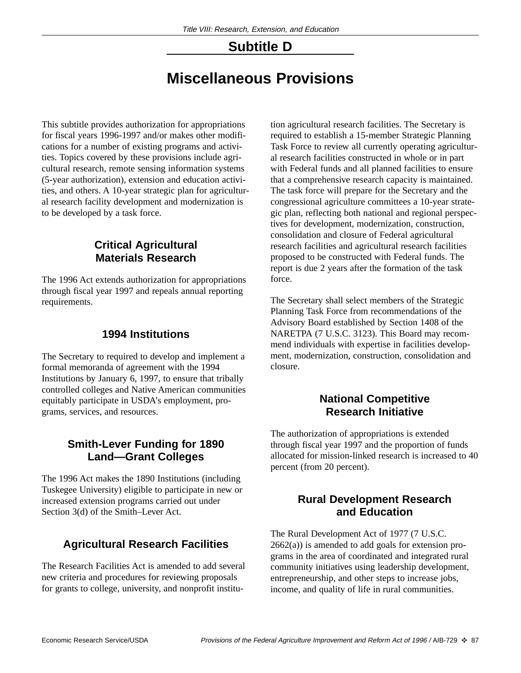## **Subtitle D**

## **Miscellaneous Provisions**

This subtitle provides authorization for appropriations for fiscal years 1996-1997 and/or makes other modifications for a number of existing programs and activities. Topics covered by these provisions include agricultural research, remote sensing information systems (5-year authorization), extension and education activities, and others. A 10-year strategic plan for agricultural research facility development and modernization is to be developed by a task force.

#### **Critical Agricultural Materials Research**

The 1996 Act extends authorization for appropriations through fiscal year 1997 and repeals annual reporting requirements.

#### **1994 Institutions**

The Secretary to required to develop and implement a formal memoranda of agreement with the 1994 Institutions by January 6, 1997, to ensure that tribally controlled colleges and Native American communities equitably participate in USDA's employment, programs, services, and resources.

#### **Smith-Lever Funding for 1890 Land—Grant Colleges**

The 1996 Act makes the 1890 Institutions (including Tuskegee University) eligible to participate in new or increased extension programs carried out under Section 3(d) of the Smith–Lever Act.

#### **Agricultural Research Facilities**

The Research Facilities Act is amended to add several new criteria and procedures for reviewing proposals for grants to college, university, and nonprofit institution agricultural research facilities. The Secretary is required to establish a 15-member Strategic Planning Task Force to review all currently operating agricultural research facilities constructed in whole or in part with Federal funds and all planned facilities to ensure that a comprehensive research capacity is maintained. The task force will prepare for the Secretary and the congressional agriculture committees a 10-year strategic plan, reflecting both national and regional perspectives for development, modernization, construction, consolidation and closure of Federal agricultural research facilities and agricultural research facilities proposed to be constructed with Federal funds. The report is due 2 years after the formation of the task force.

The Secretary shall select members of the Strategic Planning Task Force from recommendations of the Advisory Board established by Section 1408 of the NARETPA (7 U.S.C. 3123). This Board may recommend individuals with expertise in facilities development, modernization, construction, consolidation and closure.

#### **National Competitive Research Initiative**

The authorization of appropriations is extended through fiscal year 1997 and the proportion of funds allocated for mission-linked research is increased to 40 percent (from 20 percent).

#### **Rural Development Research and Education**

The Rural Development Act of 1977 (7 U.S.C.  $2662(a)$ ) is amended to add goals for extension programs in the area of coordinated and integrated rural community initiatives using leadership development, entrepreneurship, and other steps to increase jobs, income, and quality of life in rural communities.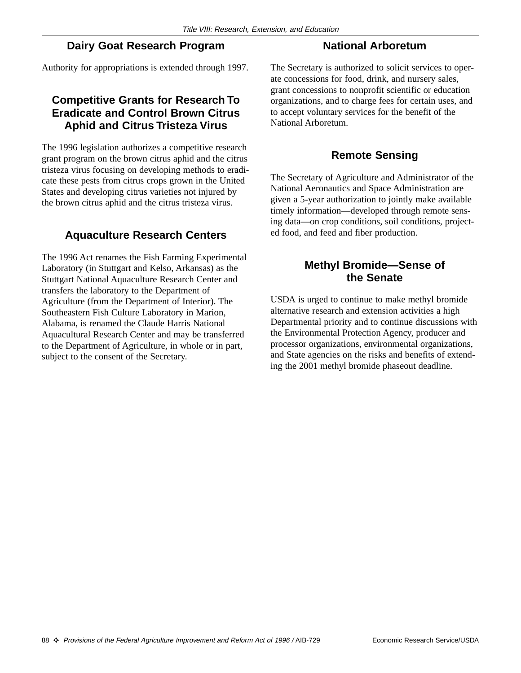#### **Dairy Goat Research Program**

#### **National Arboretum**

Authority for appropriations is extended through 1997.

#### **Competitive Grants for Research To Eradicate and Control Brown Citrus Aphid and Citrus Tristeza Virus**

The 1996 legislation authorizes a competitive research grant program on the brown citrus aphid and the citrus tristeza virus focusing on developing methods to eradicate these pests from citrus crops grown in the United States and developing citrus varieties not injured by the brown citrus aphid and the citrus tristeza virus.

#### **Aquaculture Research Centers**

The 1996 Act renames the Fish Farming Experimental Laboratory (in Stuttgart and Kelso, Arkansas) as the Stuttgart National Aquaculture Research Center and transfers the laboratory to the Department of Agriculture (from the Department of Interior). The Southeastern Fish Culture Laboratory in Marion, Alabama, is renamed the Claude Harris National Aquacultural Research Center and may be transferred to the Department of Agriculture, in whole or in part, subject to the consent of the Secretary.

The Secretary is authorized to solicit services to operate concessions for food, drink, and nursery sales, grant concessions to nonprofit scientific or education organizations, and to charge fees for certain uses, and to accept voluntary services for the benefit of the National Arboretum.

#### **Remote Sensing**

The Secretary of Agriculture and Administrator of the National Aeronautics and Space Administration are given a 5-year authorization to jointly make available timely information—developed through remote sensing data—on crop conditions, soil conditions, projected food, and feed and fiber production.

#### **Methyl Bromide—Sense of the Senate**

USDA is urged to continue to make methyl bromide alternative research and extension activities a high Departmental priority and to continue discussions with the Environmental Protection Agency, producer and processor organizations, environmental organizations, and State agencies on the risks and benefits of extending the 2001 methyl bromide phaseout deadline.